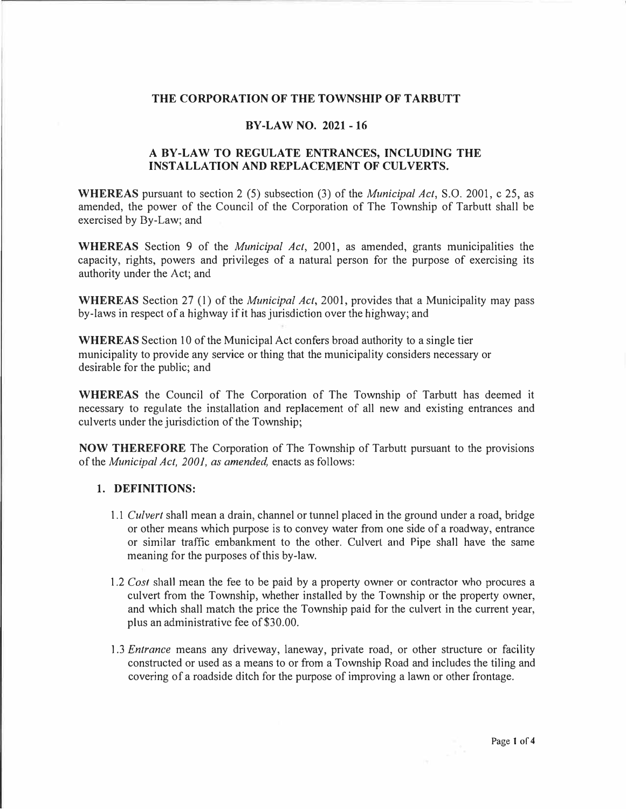### **THE CORPORATION OF THE TOWNSHIP OF TARBUTT**

### **BY-LAW NO. 2021-16**

# **A BY-LAW TO REGULATE ENTRANCES, INCLUDING THE INSTALLATION AND REPLACEMENT OF CULVERTS.**

**WHEREAS** pursuant to section 2 (5) subsection (3) of the *Municipal Act,* S.O. 2001, c 25, as amended, the power of the Council of the Corporation of The Township of Tarbutt shall be exercised by By-Law; and

**WHEREAS** Section 9 of the *Municipal Act,* 2001, as amended, grants municipalities the capacity, rights, powers and privileges of a natural person for the purpose of exercising its authority under the Act; and

**WHEREAS** Section 27 (1) of the *Municipal Act*, 2001, provides that a Municipality may pass by-laws in respect of a highway if it has jurisdiction over the highway; and

**WHEREAS** Section 10 of the Municipal Act confers broad authority to a single tier municipality to provide any service or thing that the municipality considers necessary or desirable for the public; and

**WHEREAS** the Council of The Corporation of The Township of Tarbutt has deemed it necessary to regulate the installation and replacement of all new and existing entrances and culverts under the jurisdiction of the Township;

**NOW THEREFORE** The Corporation of The Township of Tarbutt pursuant to the provisions of the *Municipal Act, 2001, as amended,* enacts as follows:

### **1. DEFINITIONS:**

- 1.1 *Culvert* shall mean a drain, channel or tunnel placed in the ground under a road, bridge or other means which purpose is to convey water from one side of a roadway, entrance or similar traffic embankment to the other. Culvert and Pipe shall have the same meaning for the purposes of this by-law.
- 1.2 *Cost* shall mean the fee to be paid by a property owner or contractor who procures a culvert from the Township, whether installed by the Township or the property owner, and which shall match the price the Township paid for the culvert in the current year, plus an administrative fee of \$30.00.
- 1.3 *Entrance* means any driveway, laneway, private road, or other structure or facility constructed or used as a means to or from a Township Road and includes the tiling and covering of a roadside ditch for the purpose of improving a lawn or other frontage.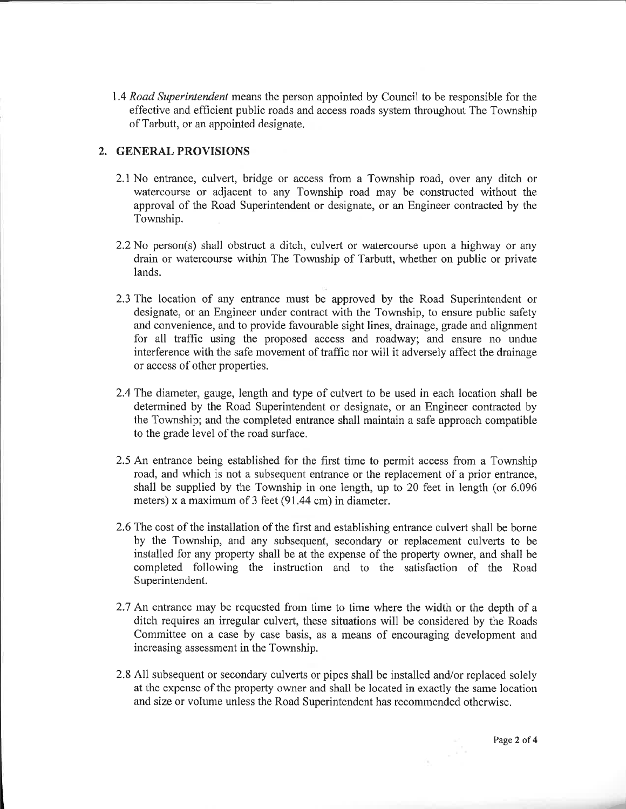1.4 *Road Superintendent* means the person appointed by Council to be responsible for the effective and efficient public roads and access roads system throughout The Township of Tarbutt, or an appointed designate.

# 2. GENERAL PROVISIONS

- 2.1 No entrance, culvert, bridge or access from a Township road, over any ditch or watercourse or adjacent to any Township road may be constructed without the approval of the Road Superintendent or designate, or an Engineer contracted by the Township.
- 2.2 No person(s) shall obstruct a ditch, culvert or watercourse upon a highway or any drain or watercourse within The Township of Tarbutt, whether on public or private lands.
- 2.3 The location of any entrance must be approved by the Road Superintendent or designate, or an Engineer under contract with the Township, to ensure public safety and convenience, and to provide favourable sight lines, drainage, grade and alignment for all traffic using the proposed access and roadway; and ensure no undue interference with the safe movement of traffic nor will it adversely affect the drainage or access of other properties.
- 2.4 The diameter, gauge, length and type of culvert to be used in each location shall be determined by the Road Superintendent or designate, or an Engineer contracted by the Township; and the completed entrance shall maintain a safe approach compatible to the grade level of the road surface.
- 2.5 An entrance being established for the first time to permit access from a Township road, and which is not a subsequent entrance or the replacement of a prior entrance. shall be supplied by the Township in one length, up to 20 feet in length (or 6.096) meters) x a maximum of 3 feet (91.44 cm) in diameter.
- 2.6 The cost of the installation of the first and establishing entrance culvert shall be borne by the Township, and any subsequent, secondary or replacement culverts to be installed for any property shall be at the expense of the property owner, and shall be completed following the instruction and to the satisfaction of the Road Superintendent.
- 2.7 An entrance may be requested from time to time where the width or the depth of a ditch requires an irregular culvert, these situations will be considered by the Roads Committee on a case by case basis, as a means of encouraging development and increasing assessment in the Township.
- 2.8 All subsequent or secondary culverts or pipes shall be installed and/or replaced solely at the expense of the property owner and shall be located in exactly the same location and size or volume unless the Road Superintendent has recommended otherwise.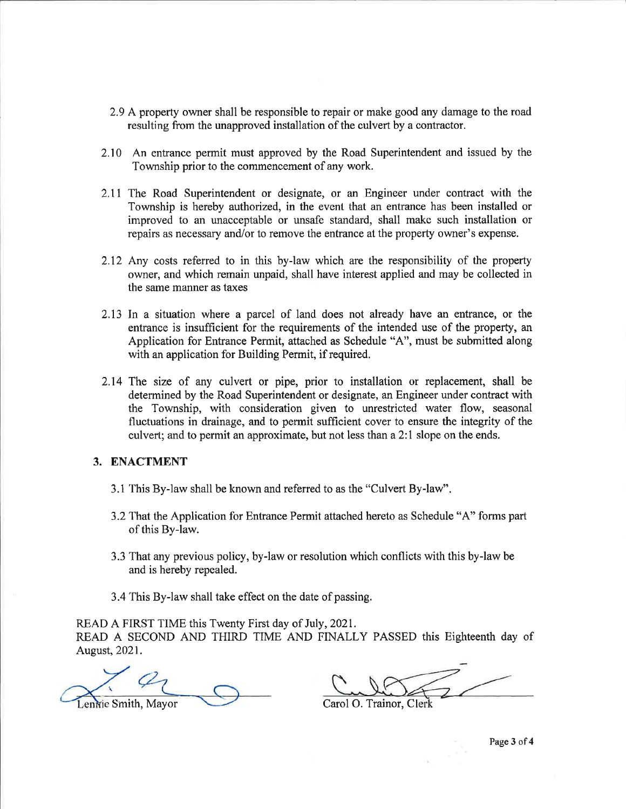- 2.9 A property owner shall be responsible to repair or make good any damage to the road resulting from the unapproved installation of the culvert by a contractor.
- 2.10 An entrance permit must approved by the Road Superintendent and issued by the Township prior to the commencement of any work.
- 2.11 The Road Superintendent or designate, or an Engineer under contract with the Township is hereby authorized, in the event that an entrance has been installed or improved to an unacceptable or unsafe standard, shall make such installation or repairs as necessary and/or to remove the entrance at the property owner's expense.
- 2.12 Any costs referred to in this by-law which are the responsibility of the property owner, and which remain unpaid, shall have interest applied and may be collected in the same manner as taxes
- 2.13 In a situation where a parcel of land does not already have an entrance, or the entrance is insufficient for the requirements of the intended use of the property, an Application for Entrance Permit, attached as Schedule "A", must be submitted along with an application for Building Permit, if required.
- 2.14 The size of any culvert or pipe, prior to installation or replacement, shall be determined by the Road Superintendent or designate, an Engineer under contract with the Township, with consideration given to unrestricted water flow, seasonal fluctuations in drainage, and to permit sufficient cover to ensure the integrity of the culvert; and to permit an approximate, but not less than a 2:1 slope on the ends.

### 3. ENACTMENT

- 3.1 This By-law shall be known and referred to as the "Culvert By-law".
- 3.2 That the Application for Entrance Permit attached hereto as Schedule "A" forms part of this By-law.
- 3.3 That any previous policy, by-law or resolution which conflicts with this by-law be and is hereby repealed.
- 3.4 This By-law shall take effect on the date of passing.

READ A FIRST TIME this Twenty First day of July, 2021.

READ A SECOND AND THIRD TIME AND FINALLY PASSED this Eighteenth day of August, 2021.

ennie Smith, Mayor

Carol O. Trainor, Clerk